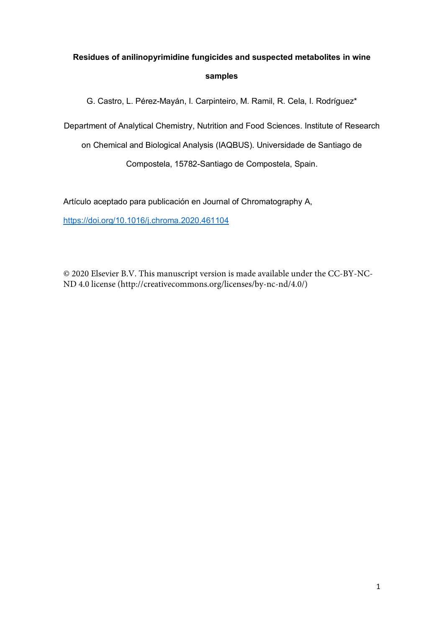# **Residues of anilinopyrimidine fungicides and suspected metabolites in wine samples**

G. Castro, L. Pérez-Mayán, I. Carpinteiro, M. Ramil, R. Cela, I. Rodríguez\*

Department of Analytical Chemistry, Nutrition and Food Sciences. Institute of Research

on Chemical and Biological Analysis (IAQBUS). Universidade de Santiago de

Compostela, 15782-Santiago de Compostela, Spain.

Artículo aceptado para publicación en Journal of Chromatography A,

<https://doi.org/10.1016/j.chroma.2020.461104>

© 2020 Elsevier B.V. This manuscript version is made available under the CC-BY-NC-ND 4.0 license (http://creativecommons.org/licenses/by-nc-nd/4.0/)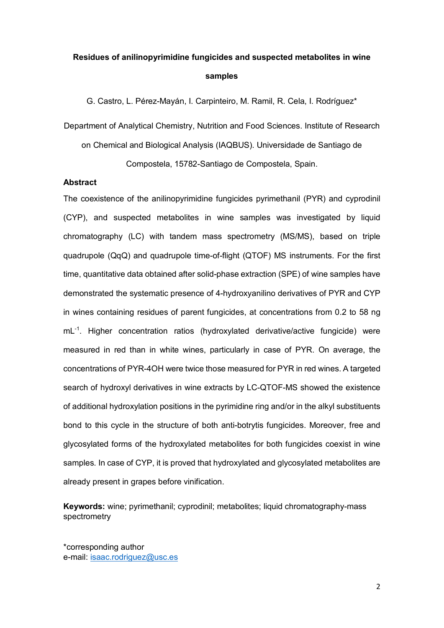## **Residues of anilinopyrimidine fungicides and suspected metabolites in wine samples**

G. Castro, L. Pérez-Mayán, I. Carpinteiro, M. Ramil, R. Cela, I. Rodríguez\*

Department of Analytical Chemistry, Nutrition and Food Sciences. Institute of Research on Chemical and Biological Analysis (IAQBUS). Universidade de Santiago de Compostela, 15782-Santiago de Compostela, Spain.

## **Abstract**

The coexistence of the anilinopyrimidine fungicides pyrimethanil (PYR) and cyprodinil (CYP), and suspected metabolites in wine samples was investigated by liquid chromatography (LC) with tandem mass spectrometry (MS/MS), based on triple quadrupole (QqQ) and quadrupole time-of-flight (QTOF) MS instruments. For the first time, quantitative data obtained after solid-phase extraction (SPE) of wine samples have demonstrated the systematic presence of 4-hydroxyanilino derivatives of PYR and CYP in wines containing residues of parent fungicides, at concentrations from 0.2 to 58 ng mL-1. Higher concentration ratios (hydroxylated derivative/active fungicide) were measured in red than in white wines, particularly in case of PYR. On average, the concentrations of PYR-4OH were twice those measured for PYR in red wines. A targeted search of hydroxyl derivatives in wine extracts by LC-QTOF-MS showed the existence of additional hydroxylation positions in the pyrimidine ring and/or in the alkyl substituents bond to this cycle in the structure of both anti-botrytis fungicides. Moreover, free and glycosylated forms of the hydroxylated metabolites for both fungicides coexist in wine samples. In case of CYP, it is proved that hydroxylated and glycosylated metabolites are already present in grapes before vinification.

**Keywords:** wine; pyrimethanil; cyprodinil; metabolites; liquid chromatography-mass spectrometry

\*corresponding author e-mail: [isaac.rodriguez@usc.es](mailto:isaac.rodriguez@usc.es)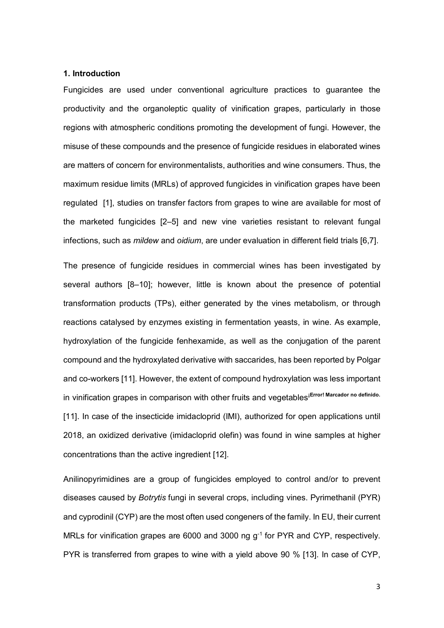## **1. Introduction**

Fungicides are used under conventional agriculture practices to guarantee the productivity and the organoleptic quality of vinification grapes, particularly in those regions with atmospheric conditions promoting the development of fungi. However, the misuse of these compounds and the presence of fungicide residues in elaborated wines are matters of concern for environmentalists, authorities and wine consumers. Thus, the maximum residue limits (MRLs) of approved fungicides in vinification grapes have been regulated [1], studies on transfer factors from grapes to wine are available for most of the marketed fungicides [2–5] and new vine varieties resistant to relevant fungal infections, such as *mildew* and *oidium*, are under evaluation in different field trials [6,7].

The presence of fungicide residues in commercial wines has been investigated by several authors [8–10]; however, little is known about the presence of potential transformation products (TPs), either generated by the vines metabolism, or through reactions catalysed by enzymes existing in fermentation yeasts, in wine. As example, hydroxylation of the fungicide fenhexamide, as well as the conjugation of the parent compound and the hydroxylated derivative with saccarides, has been reported by Polgar and co-workers [11]. However, the extent of compound hydroxylation was less important in vinification grapes in comparison with other fruits and vegetables<sup>iError! Marcador no definido.</sup> [11]. In case of the insecticide imidacloprid (IMI), authorized for open applications until 2018, an oxidized derivative (imidacloprid olefin) was found in wine samples at higher concentrations than the active ingredient [12].

Anilinopyrimidines are a group of fungicides employed to control and/or to prevent diseases caused by *Botrytis* fungi in several crops, including vines. Pyrimethanil (PYR) and cyprodinil (CYP) are the most often used congeners of the family. In EU, their current MRLs for vinification grapes are 6000 and 3000 ng g<sup>-1</sup> for PYR and CYP, respectively. PYR is transferred from grapes to wine with a yield above 90 % [13]. In case of CYP,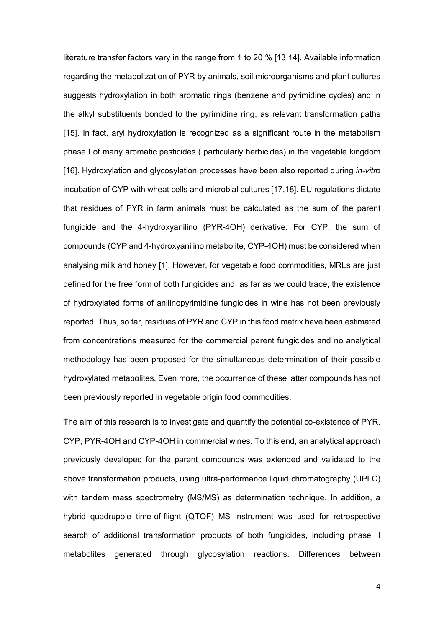literature transfer factors vary in the range from 1 to 20 % [13,14]. Available information regarding the metabolization of PYR by animals, soil microorganisms and plant cultures suggests hydroxylation in both aromatic rings (benzene and pyrimidine cycles) and in the alkyl substituents bonded to the pyrimidine ring, as relevant transformation paths [15]. In fact, aryl hydroxylation is recognized as a significant route in the metabolism phase I of many aromatic pesticides ( particularly herbicides) in the vegetable kingdom [16]. Hydroxylation and glycosylation processes have been also reported during *in-vitro* incubation of CYP with wheat cells and microbial cultures [17,18]. EU regulations dictate that residues of PYR in farm animals must be calculated as the sum of the parent fungicide and the 4-hydroxyanilino (PYR-4OH) derivative. For CYP, the sum of compounds (CYP and 4-hydroxyanilino metabolite, CYP-4OH) must be considered when analysing milk and honey [1]. However, for vegetable food commodities, MRLs are just defined for the free form of both fungicides and, as far as we could trace, the existence of hydroxylated forms of anilinopyrimidine fungicides in wine has not been previously reported. Thus, so far, residues of PYR and CYP in this food matrix have been estimated from concentrations measured for the commercial parent fungicides and no analytical methodology has been proposed for the simultaneous determination of their possible hydroxylated metabolites. Even more, the occurrence of these latter compounds has not been previously reported in vegetable origin food commodities.

The aim of this research is to investigate and quantify the potential co-existence of PYR, CYP, PYR-4OH and CYP-4OH in commercial wines. To this end, an analytical approach previously developed for the parent compounds was extended and validated to the above transformation products, using ultra-performance liquid chromatography (UPLC) with tandem mass spectrometry (MS/MS) as determination technique. In addition, a hybrid quadrupole time-of-flight (QTOF) MS instrument was used for retrospective search of additional transformation products of both fungicides, including phase II metabolites generated through glycosylation reactions. Differences between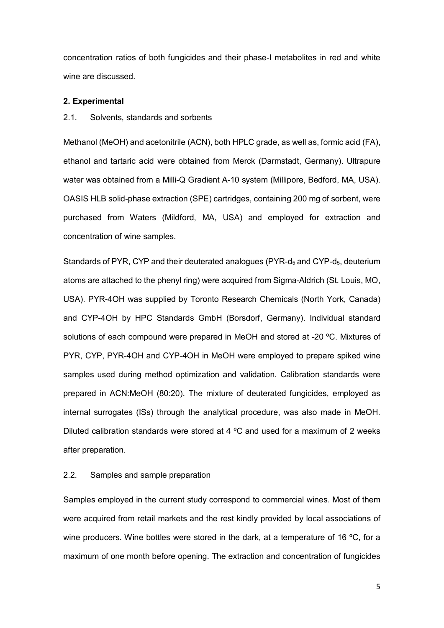concentration ratios of both fungicides and their phase-I metabolites in red and white wine are discussed.

### **2. Experimental**

#### 2.1. Solvents, standards and sorbents

Methanol (MeOH) and acetonitrile (ACN), both HPLC grade, as well as, formic acid (FA), ethanol and tartaric acid were obtained from Merck (Darmstadt, Germany). Ultrapure water was obtained from a Milli-Q Gradient A-10 system (Millipore, Bedford, MA, USA). OASIS HLB solid-phase extraction (SPE) cartridges, containing 200 mg of sorbent, were purchased from Waters (Mildford, MA, USA) and employed for extraction and concentration of wine samples.

Standards of PYR, CYP and their deuterated analogues (PYR- $d_5$  and CYP- $d_5$ , deuterium atoms are attached to the phenyl ring) were acquired from Sigma-Aldrich (St. Louis, MO, USA). PYR-4OH was supplied by Toronto Research Chemicals (North York, Canada) and CYP-4OH by HPC Standards GmbH (Borsdorf, Germany). Individual standard solutions of each compound were prepared in MeOH and stored at -20 ºC. Mixtures of PYR, CYP, PYR-4OH and CYP-4OH in MeOH were employed to prepare spiked wine samples used during method optimization and validation. Calibration standards were prepared in ACN:MeOH (80:20). The mixture of deuterated fungicides, employed as internal surrogates (ISs) through the analytical procedure, was also made in MeOH. Diluted calibration standards were stored at 4 ºC and used for a maximum of 2 weeks after preparation.

## 2.2. Samples and sample preparation

Samples employed in the current study correspond to commercial wines. Most of them were acquired from retail markets and the rest kindly provided by local associations of wine producers. Wine bottles were stored in the dark, at a temperature of 16 °C, for a maximum of one month before opening. The extraction and concentration of fungicides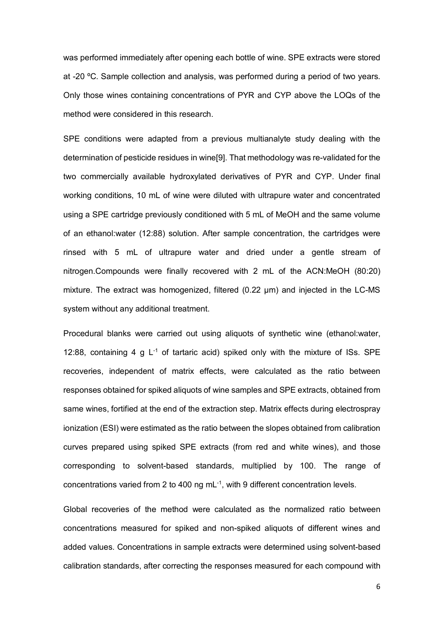was performed immediately after opening each bottle of wine. SPE extracts were stored at -20 ºC. Sample collection and analysis, was performed during a period of two years. Only those wines containing concentrations of PYR and CYP above the LOQs of the method were considered in this research.

SPE conditions were adapted from a previous multianalyte study dealing with the determination of pesticide residues in wine[9]. That methodology was re-validated for the two commercially available hydroxylated derivatives of PYR and CYP. Under final working conditions, 10 mL of wine were diluted with ultrapure water and concentrated using a SPE cartridge previously conditioned with 5 mL of MeOH and the same volume of an ethanol:water (12:88) solution. After sample concentration, the cartridges were rinsed with 5 mL of ultrapure water and dried under a gentle stream of nitrogen.Compounds were finally recovered with 2 mL of the ACN:MeOH (80:20) mixture. The extract was homogenized, filtered (0.22 um) and injected in the LC-MS system without any additional treatment.

Procedural blanks were carried out using aliquots of synthetic wine (ethanol:water, 12:88, containing 4 g  $L^{-1}$  of tartaric acid) spiked only with the mixture of ISs. SPE recoveries, independent of matrix effects, were calculated as the ratio between responses obtained for spiked aliquots of wine samples and SPE extracts, obtained from same wines, fortified at the end of the extraction step. Matrix effects during electrospray ionization (ESI) were estimated as the ratio between the slopes obtained from calibration curves prepared using spiked SPE extracts (from red and white wines), and those corresponding to solvent-based standards, multiplied by 100. The range of concentrations varied from 2 to 400 ng mL<sup>-1</sup>, with 9 different concentration levels.

Global recoveries of the method were calculated as the normalized ratio between concentrations measured for spiked and non-spiked aliquots of different wines and added values. Concentrations in sample extracts were determined using solvent-based calibration standards, after correcting the responses measured for each compound with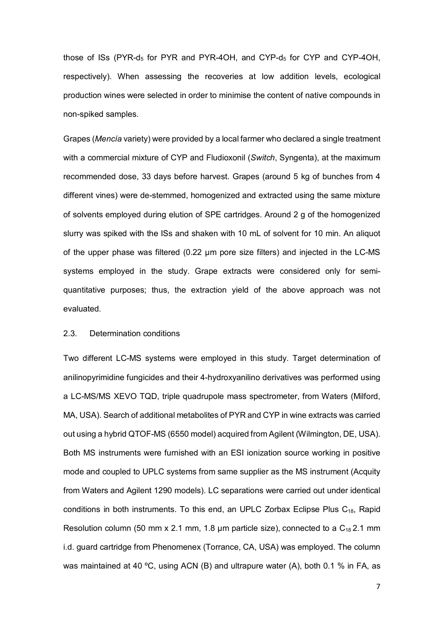those of ISs (PYR-d<sub>5</sub> for PYR and PYR-4OH, and CYP-d<sub>5</sub> for CYP and CYP-4OH, respectively). When assessing the recoveries at low addition levels, ecological production wines were selected in order to minimise the content of native compounds in non-spiked samples.

Grapes (*Mencía* variety) were provided by a local farmer who declared a single treatment with a commercial mixture of CYP and Fludioxonil (*Switch*, Syngenta), at the maximum recommended dose, 33 days before harvest. Grapes (around 5 kg of bunches from 4 different vines) were de-stemmed, homogenized and extracted using the same mixture of solvents employed during elution of SPE cartridges. Around 2 g of the homogenized slurry was spiked with the ISs and shaken with 10 mL of solvent for 10 min. An aliquot of the upper phase was filtered (0.22 µm pore size filters) and injected in the LC-MS systems employed in the study. Grape extracts were considered only for semiquantitative purposes; thus, the extraction yield of the above approach was not evaluated.

## 2.3. Determination conditions

Two different LC-MS systems were employed in this study. Target determination of anilinopyrimidine fungicides and their 4-hydroxyanilino derivatives was performed using a LC-MS/MS XEVO TQD, triple quadrupole mass spectrometer, from Waters (Milford, MA, USA). Search of additional metabolites of PYR and CYP in wine extracts was carried out using a hybrid QTOF-MS (6550 model) acquired from Agilent (Wilmington, DE, USA). Both MS instruments were furnished with an ESI ionization source working in positive mode and coupled to UPLC systems from same supplier as the MS instrument (Acquity from Waters and Agilent 1290 models). LC separations were carried out under identical conditions in both instruments. To this end, an UPLC Zorbax Eclipse Plus  $C_{18}$ , Rapid Resolution column (50 mm x 2.1 mm, 1.8 µm particle size), connected to a  $C_{18}$  2.1 mm i.d. guard cartridge from Phenomenex (Torrance, CA, USA) was employed. The column was maintained at 40 ºC, using ACN (B) and ultrapure water (A), both 0.1 % in FA, as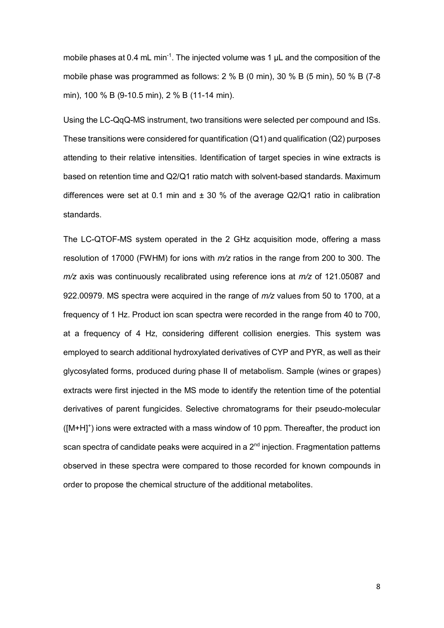mobile phases at 0.4 mL min<sup>-1</sup>. The injected volume was 1  $\mu$ L and the composition of the mobile phase was programmed as follows: 2 % B (0 min), 30 % B (5 min), 50 % B (7-8 min), 100 % B (9-10.5 min), 2 % B (11-14 min).

Using the LC-QqQ-MS instrument, two transitions were selected per compound and ISs. These transitions were considered for quantification (Q1) and qualification (Q2) purposes attending to their relative intensities. Identification of target species in wine extracts is based on retention time and Q2/Q1 ratio match with solvent-based standards. Maximum differences were set at 0.1 min and  $\pm$  30 % of the average Q2/Q1 ratio in calibration standards.

The LC-QTOF-MS system operated in the 2 GHz acquisition mode, offering a mass resolution of 17000 (FWHM) for ions with *m/z* ratios in the range from 200 to 300. The *m/z* axis was continuously recalibrated using reference ions at *m/z* of 121.05087 and 922.00979. MS spectra were acquired in the range of *m/z* values from 50 to 1700, at a frequency of 1 Hz. Product ion scan spectra were recorded in the range from 40 to 700, at a frequency of 4 Hz, considering different collision energies. This system was employed to search additional hydroxylated derivatives of CYP and PYR, as well as their glycosylated forms, produced during phase II of metabolism. Sample (wines or grapes) extracts were first injected in the MS mode to identify the retention time of the potential derivatives of parent fungicides. Selective chromatograms for their pseudo-molecular  $([M+H]^+)$  ions were extracted with a mass window of 10 ppm. Thereafter, the product ion scan spectra of candidate peaks were acquired in a  $2<sup>nd</sup>$  injection. Fragmentation patterns observed in these spectra were compared to those recorded for known compounds in order to propose the chemical structure of the additional metabolites.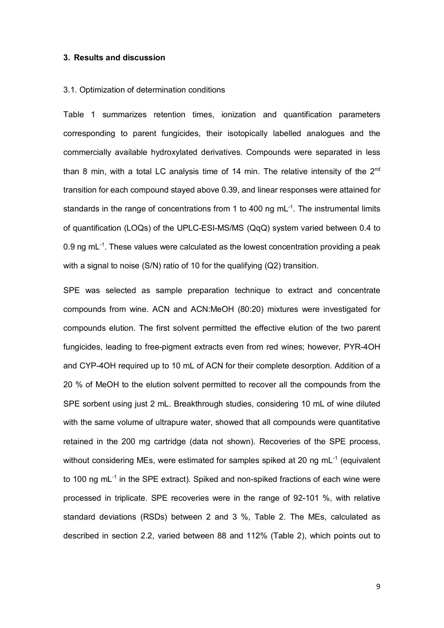## **3. Results and discussion**

#### 3.1. Optimization of determination conditions

Table 1 summarizes retention times, ionization and quantification parameters corresponding to parent fungicides, their isotopically labelled analogues and the commercially available hydroxylated derivatives. Compounds were separated in less than 8 min, with a total LC analysis time of 14 min. The relative intensity of the  $2<sup>nd</sup>$ transition for each compound stayed above 0.39, and linear responses were attained for standards in the range of concentrations from 1 to 400 ng mL<sup>-1</sup>. The instrumental limits of quantification (LOQs) of the UPLC-ESI-MS/MS (QqQ) system varied between 0.4 to 0.9 ng mL $^{-1}$ . These values were calculated as the lowest concentration providing a peak with a signal to noise (S/N) ratio of 10 for the qualifying (Q2) transition.

SPE was selected as sample preparation technique to extract and concentrate compounds from wine. ACN and ACN:MeOH (80:20) mixtures were investigated for compounds elution. The first solvent permitted the effective elution of the two parent fungicides, leading to free-pigment extracts even from red wines; however, PYR-4OH and CYP-4OH required up to 10 mL of ACN for their complete desorption. Addition of a 20 % of MeOH to the elution solvent permitted to recover all the compounds from the SPE sorbent using just 2 mL. Breakthrough studies, considering 10 mL of wine diluted with the same volume of ultrapure water, showed that all compounds were quantitative retained in the 200 mg cartridge (data not shown). Recoveries of the SPE process, without considering MEs, were estimated for samples spiked at 20 ng mL<sup>-1</sup> (equivalent to 100 ng mL<sup>-1</sup> in the SPE extract). Spiked and non-spiked fractions of each wine were processed in triplicate. SPE recoveries were in the range of 92-101 %, with relative standard deviations (RSDs) between 2 and 3 %, Table 2. The MEs, calculated as described in section 2.2, varied between 88 and 112% (Table 2), which points out to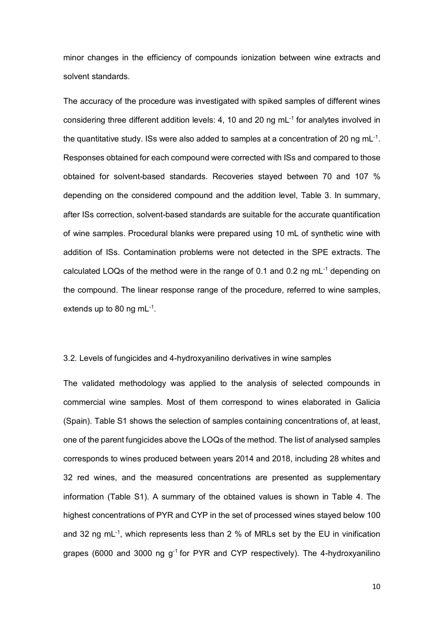minor changes in the efficiency of compounds ionization between wine extracts and solvent standards.

The accuracy of the procedure was investigated with spiked samples of different wines considering three different addition levels: 4, 10 and 20 ng mL-1 for analytes involved in the quantitative study. ISs were also added to samples at a concentration of 20 ng mL<sup>-1</sup>. Responses obtained for each compound were corrected with ISs and compared to those obtained for solvent-based standards. Recoveries stayed between 70 and 107 % depending on the considered compound and the addition level, Table 3. In summary, after ISs correction, solvent-based standards are suitable for the accurate quantification of wine samples. Procedural blanks were prepared using 10 mL of synthetic wine with addition of ISs. Contamination problems were not detected in the SPE extracts. The calculated LOQs of the method were in the range of 0.1 and 0.2 ng mL-1 depending on the compound. The linear response range of the procedure, referred to wine samples, extends up to 80 ng mL $^{-1}$ .

## 3.2. Levels of fungicides and 4-hydroxyanilino derivatives in wine samples

The validated methodology was applied to the analysis of selected compounds in commercial wine samples. Most of them correspond to wines elaborated in Galicia (Spain). Table S1 shows the selection of samples containing concentrations of, at least, one of the parent fungicides above the LOQs of the method. The list of analysed samples corresponds to wines produced between years 2014 and 2018, including 28 whites and 32 red wines, and the measured concentrations are presented as supplementary information (Table S1). A summary of the obtained values is shown in Table 4. The highest concentrations of PYR and CYP in the set of processed wines stayed below 100 and 32 ng mL<sup>-1</sup>, which represents less than 2 % of MRLs set by the EU in vinification grapes (6000 and 3000 ng  $g^{-1}$  for PYR and CYP respectively). The 4-hydroxyanilino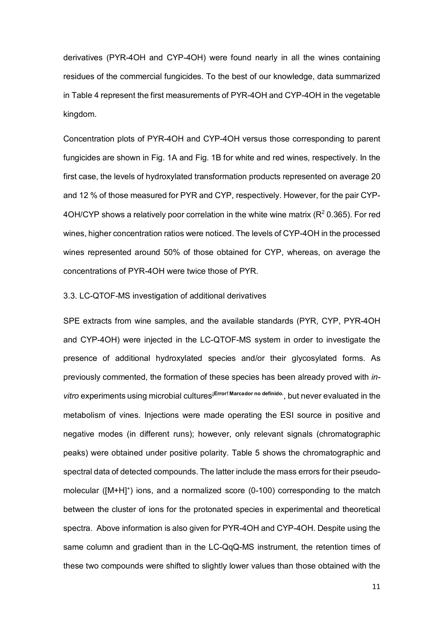derivatives (PYR-4OH and CYP-4OH) were found nearly in all the wines containing residues of the commercial fungicides. To the best of our knowledge, data summarized in Table 4 represent the first measurements of PYR-4OH and CYP-4OH in the vegetable kingdom.

Concentration plots of PYR-4OH and CYP-4OH versus those corresponding to parent fungicides are shown in Fig. 1A and Fig. 1B for white and red wines, respectively. In the first case, the levels of hydroxylated transformation products represented on average 20 and 12 % of those measured for PYR and CYP, respectively. However, for the pair CYP-4OH/CYP shows a relatively poor correlation in the white wine matrix ( $R^2$  0.365). For red wines, higher concentration ratios were noticed. The levels of CYP-4OH in the processed wines represented around 50% of those obtained for CYP, whereas, on average the concentrations of PYR-4OH were twice those of PYR.

## 3.3. LC-QTOF-MS investigation of additional derivatives

SPE extracts from wine samples, and the available standards (PYR, CYP, PYR-4OH and CYP-4OH) were injected in the LC-QTOF-MS system in order to investigate the presence of additional hydroxylated species and/or their glycosylated forms. As previously commented, the formation of these species has been already proved with *invitro* experiments using microbial cultures**¡Error! Marcador no definido.**, but never evaluated in the metabolism of vines. Injections were made operating the ESI source in positive and negative modes (in different runs); however, only relevant signals (chromatographic peaks) were obtained under positive polarity. Table 5 shows the chromatographic and spectral data of detected compounds. The latter include the mass errors for their pseudomolecular ([M+H]<sup>+</sup>) ions, and a normalized score (0-100) corresponding to the match between the cluster of ions for the protonated species in experimental and theoretical spectra. Above information is also given for PYR-4OH and CYP-4OH. Despite using the same column and gradient than in the LC-QqQ-MS instrument, the retention times of these two compounds were shifted to slightly lower values than those obtained with the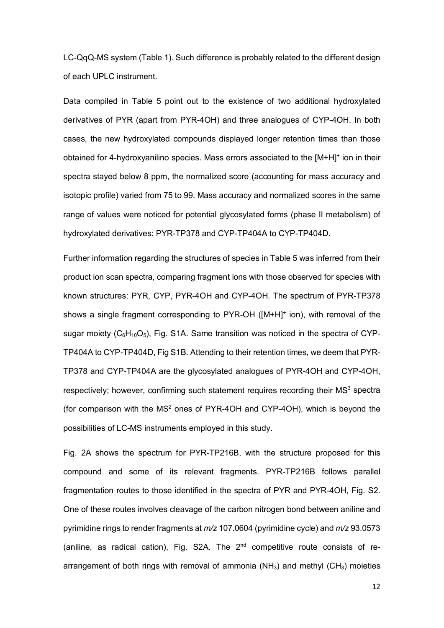LC-QqQ-MS system (Table 1). Such difference is probably related to the different design of each UPLC instrument.

Data compiled in Table 5 point out to the existence of two additional hydroxylated derivatives of PYR (apart from PYR-4OH) and three analogues of CYP-4OH. In both cases, the new hydroxylated compounds displayed longer retention times than those obtained for 4-hydroxyanilino species. Mass errors associated to the [M+H]+ ion in their spectra stayed below 8 ppm, the normalized score (accounting for mass accuracy and isotopic profile) varied from 75 to 99. Mass accuracy and normalized scores in the same range of values were noticed for potential glycosylated forms (phase II metabolism) of hydroxylated derivatives: PYR-TP378 and CYP-TP404A to CYP-TP404D.

Further information regarding the structures of species in Table 5 was inferred from their product ion scan spectra, comparing fragment ions with those observed for species with known structures: PYR, CYP, PYR-4OH and CYP-4OH. The spectrum of PYR-TP378 shows a single fragment corresponding to PYR-OH ([M+H]<sup>+</sup> ion), with removal of the sugar moiety  $(C_6H_{10}O_5)$ , Fig. S1A. Same transition was noticed in the spectra of CYP-TP404A to CYP-TP404D, Fig S1B. Attending to their retention times, we deem that PYR-TP378 and CYP-TP404A are the glycosylated analogues of PYR-4OH and CYP-4OH, respectively; however, confirming such statement requires recording their  $MS<sup>3</sup>$  spectra (for comparison with the  $MS<sup>2</sup>$  ones of PYR-4OH and CYP-4OH), which is beyond the possibilities of LC-MS instruments employed in this study.

Fig. 2A shows the spectrum for PYR-TP216B, with the structure proposed for this compound and some of its relevant fragments. PYR-TP216B follows parallel fragmentation routes to those identified in the spectra of PYR and PYR-4OH, Fig. S2. One of these routes involves cleavage of the carbon nitrogen bond between aniline and pyrimidine rings to render fragments at *m/z* 107.0604 (pyrimidine cycle) and *m/z* 93.0573 (aniline, as radical cation), Fig. S2A. The  $2<sup>nd</sup>$  competitive route consists of rearrangement of both rings with removal of ammonia ( $NH<sub>3</sub>$ ) and methyl ( $CH<sub>3</sub>$ ) moieties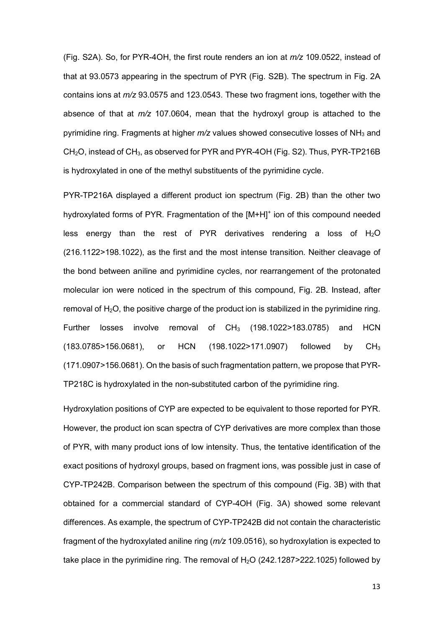(Fig. S2A). So, for PYR-4OH, the first route renders an ion at *m/z* 109.0522, instead of that at 93.0573 appearing in the spectrum of PYR (Fig. S2B). The spectrum in Fig. 2A contains ions at *m/z* 93.0575 and 123.0543. These two fragment ions, together with the absence of that at *m/z* 107.0604, mean that the hydroxyl group is attached to the pyrimidine ring. Fragments at higher  $m/z$  values showed consecutive losses of NH<sub>3</sub> and  $CH<sub>2</sub>O$ , instead of  $CH<sub>3</sub>$ , as observed for PYR and PYR-4OH (Fig. S2). Thus, PYR-TP216B is hydroxylated in one of the methyl substituents of the pyrimidine cycle.

PYR-TP216A displayed a different product ion spectrum (Fig. 2B) than the other two hydroxylated forms of PYR. Fragmentation of the [M+H]+ ion of this compound needed less energy than the rest of PYR derivatives rendering a loss of  $H_2O$ (216.1122>198.1022), as the first and the most intense transition. Neither cleavage of the bond between aniline and pyrimidine cycles, nor rearrangement of the protonated molecular ion were noticed in the spectrum of this compound, Fig. 2B. Instead, after removal of  $H_2O$ , the positive charge of the product ion is stabilized in the pyrimidine ring. Further losses involve removal of  $CH_3$  (198.1022>183.0785) and HCN (183.0785>156.0681), or HCN (198.1022>171.0907) followed by CH3 (171.0907>156.0681). On the basis of such fragmentation pattern, we propose that PYR-TP218C is hydroxylated in the non-substituted carbon of the pyrimidine ring.

Hydroxylation positions of CYP are expected to be equivalent to those reported for PYR. However, the product ion scan spectra of CYP derivatives are more complex than those of PYR, with many product ions of low intensity. Thus, the tentative identification of the exact positions of hydroxyl groups, based on fragment ions, was possible just in case of CYP-TP242B. Comparison between the spectrum of this compound (Fig. 3B) with that obtained for a commercial standard of CYP-4OH (Fig. 3A) showed some relevant differences. As example, the spectrum of CYP-TP242B did not contain the characteristic fragment of the hydroxylated aniline ring (*m/z* 109.0516), so hydroxylation is expected to take place in the pyrimidine ring. The removal of  $H<sub>2</sub>O$  (242.1287>222.1025) followed by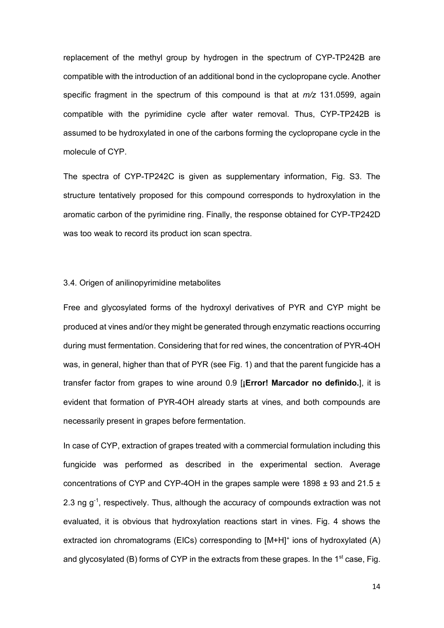replacement of the methyl group by hydrogen in the spectrum of CYP-TP242B are compatible with the introduction of an additional bond in the cyclopropane cycle. Another specific fragment in the spectrum of this compound is that at *m/z* 131.0599, again compatible with the pyrimidine cycle after water removal. Thus, CYP-TP242B is assumed to be hydroxylated in one of the carbons forming the cyclopropane cycle in the molecule of CYP.

The spectra of CYP-TP242C is given as supplementary information, Fig. S3. The structure tentatively proposed for this compound corresponds to hydroxylation in the aromatic carbon of the pyrimidine ring. Finally, the response obtained for CYP-TP242D was too weak to record its product ion scan spectra.

## 3.4. Origen of anilinopyrimidine metabolites

Free and glycosylated forms of the hydroxyl derivatives of PYR and CYP might be produced at vines and/or they might be generated through enzymatic reactions occurring during must fermentation. Considering that for red wines, the concentration of PYR-4OH was, in general, higher than that of PYR (see Fig. 1) and that the parent fungicide has a transfer factor from grapes to wine around 0.9 [**¡Error! Marcador no definido.**], it is evident that formation of PYR-4OH already starts at vines, and both compounds are necessarily present in grapes before fermentation.

In case of CYP, extraction of grapes treated with a commercial formulation including this fungicide was performed as described in the experimental section. Average concentrations of CYP and CYP-4OH in the grapes sample were  $1898 \pm 93$  and 21.5  $\pm$ 2.3 ng  $g<sup>-1</sup>$ , respectively. Thus, although the accuracy of compounds extraction was not evaluated, it is obvious that hydroxylation reactions start in vines. Fig. 4 shows the extracted ion chromatograms (EICs) corresponding to  $[M+H]^+$  ions of hydroxylated (A) and glycosylated (B) forms of CYP in the extracts from these grapes. In the  $1<sup>st</sup>$  case. Fig.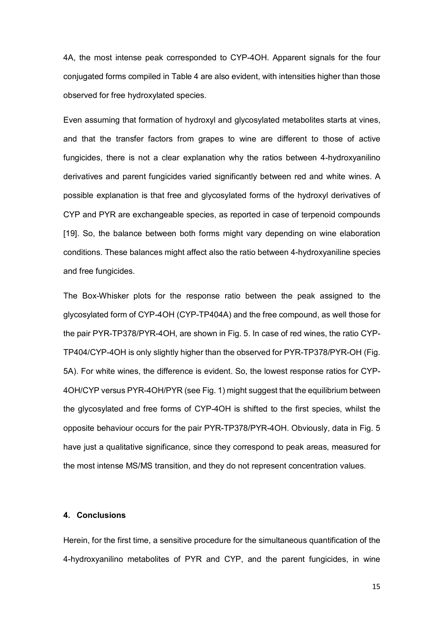4A, the most intense peak corresponded to CYP-4OH. Apparent signals for the four conjugated forms compiled in Table 4 are also evident, with intensities higher than those observed for free hydroxylated species.

Even assuming that formation of hydroxyl and glycosylated metabolites starts at vines, and that the transfer factors from grapes to wine are different to those of active fungicides, there is not a clear explanation why the ratios between 4-hydroxyanilino derivatives and parent fungicides varied significantly between red and white wines. A possible explanation is that free and glycosylated forms of the hydroxyl derivatives of CYP and PYR are exchangeable species, as reported in case of terpenoid compounds [19]. So, the balance between both forms might vary depending on wine elaboration conditions. These balances might affect also the ratio between 4-hydroxyaniline species and free fungicides.

The Box-Whisker plots for the response ratio between the peak assigned to the glycosylated form of CYP-4OH (CYP-TP404A) and the free compound, as well those for the pair PYR-TP378/PYR-4OH, are shown in Fig. 5. In case of red wines, the ratio CYP-TP404/CYP-4OH is only slightly higher than the observed for PYR-TP378/PYR-OH (Fig. 5A). For white wines, the difference is evident. So, the lowest response ratios for CYP-4OH/CYP versus PYR-4OH/PYR (see Fig. 1) might suggest that the equilibrium between the glycosylated and free forms of CYP-4OH is shifted to the first species, whilst the opposite behaviour occurs for the pair PYR-TP378/PYR-4OH. Obviously, data in Fig. 5 have just a qualitative significance, since they correspond to peak areas, measured for the most intense MS/MS transition, and they do not represent concentration values.

### **4. Conclusions**

Herein, for the first time, a sensitive procedure for the simultaneous quantification of the 4-hydroxyanilino metabolites of PYR and CYP, and the parent fungicides, in wine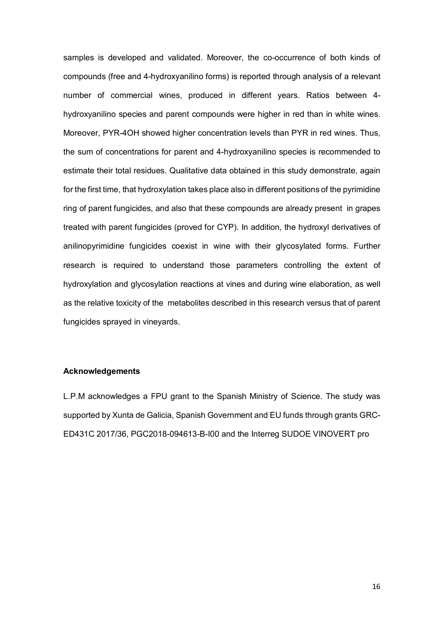samples is developed and validated. Moreover, the co-occurrence of both kinds of compounds (free and 4-hydroxyanilino forms) is reported through analysis of a relevant number of commercial wines, produced in different years. Ratios between 4 hydroxyanilino species and parent compounds were higher in red than in white wines. Moreover, PYR-4OH showed higher concentration levels than PYR in red wines. Thus, the sum of concentrations for parent and 4-hydroxyanilino species is recommended to estimate their total residues. Qualitative data obtained in this study demonstrate, again for the first time, that hydroxylation takes place also in different positions of the pyrimidine ring of parent fungicides, and also that these compounds are already present in grapes treated with parent fungicides (proved for CYP). In addition, the hydroxyl derivatives of anilinopyrimidine fungicides coexist in wine with their glycosylated forms. Further research is required to understand those parameters controlling the extent of hydroxylation and glycosylation reactions at vines and during wine elaboration, as well as the relative toxicity of the metabolites described in this research versus that of parent fungicides sprayed in vineyards.

## **Acknowledgements**

L.P.M acknowledges a FPU grant to the Spanish Ministry of Science. The study was supported by Xunta de Galicia, Spanish Government and EU funds through grants GRC-ED431C 2017/36, PGC2018-094613-B-I00 and the Interreg SUDOE VINOVERT pro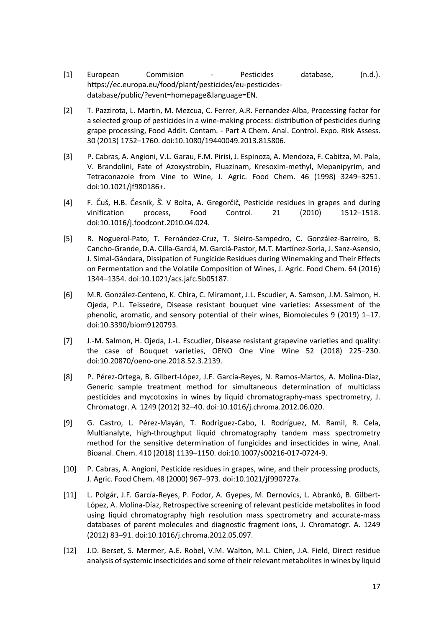- [1] European Commision Pesticides database, (n.d.). https://ec.europa.eu/food/plant/pesticides/eu-pesticidesdatabase/public/?event=homepage&language=EN.
- [2] T. Pazzirota, L. Martin, M. Mezcua, C. Ferrer, A.R. Fernandez-Alba, Processing factor for a selected group of pesticides in a wine-making process: distribution of pesticides during grape processing, Food Addit. Contam. - Part A Chem. Anal. Control. Expo. Risk Assess. 30 (2013) 1752–1760. doi:10.1080/19440049.2013.815806.
- [3] P. Cabras, A. Angioni, V.L. Garau, F.M. Pirisi, J. Espinoza, A. Mendoza, F. Cabitza, M. Pala, V. Brandolini, Fate of Azoxystrobin, Fluazinam, Kresoxim-methyl, Mepanipyrim, and Tetraconazole from Vine to Wine, J. Agric. Food Chem. 46 (1998) 3249–3251. doi:10.1021/jf980186+.
- [4] F. Čuš, H.B. Česnik, Š.̌V Bolta, A. Gregorčič, Pesticide residues in grapes and during vinification process, Food Control. 21 (2010) 1512–1518. doi:10.1016/j.foodcont.2010.04.024.
- [5] R. Noguerol-Pato, T. Fernández-Cruz, T. Sieiro-Sampedro, C. González-Barreiro, B. Cancho-Grande, D.A. Cilla-Garciá, M. Garciá-Pastor, M.T. Martínez-Soria, J. Sanz-Asensio, J. Simal-Gándara, Dissipation of Fungicide Residues during Winemaking and Their Effects on Fermentation and the Volatile Composition of Wines, J. Agric. Food Chem. 64 (2016) 1344–1354. doi:10.1021/acs.jafc.5b05187.
- [6] M.R. González-Centeno, K. Chira, C. Miramont, J.L. Escudier, A. Samson, J.M. Salmon, H. Ojeda, P.L. Teissedre, Disease resistant bouquet vine varieties: Assessment of the phenolic, aromatic, and sensory potential of their wines, Biomolecules 9 (2019) 1–17. doi:10.3390/biom9120793.
- [7] J.-M. Salmon, H. Ojeda, J.-L. Escudier, Disease resistant grapevine varieties and quality: the case of Bouquet varieties, OENO One Vine Wine 52 (2018) 225–230. doi:10.20870/oeno-one.2018.52.3.2139.
- [8] P. Pérez-Ortega, B. Gilbert-López, J.F. García-Reyes, N. Ramos-Martos, A. Molina-Díaz, Generic sample treatment method for simultaneous determination of multiclass pesticides and mycotoxins in wines by liquid chromatography-mass spectrometry, J. Chromatogr. A. 1249 (2012) 32–40. doi:10.1016/j.chroma.2012.06.020.
- [9] G. Castro, L. Pérez-Mayán, T. Rodríguez-Cabo, I. Rodríguez, M. Ramil, R. Cela, Multianalyte, high-throughput liquid chromatography tandem mass spectrometry method for the sensitive determination of fungicides and insecticides in wine, Anal. Bioanal. Chem. 410 (2018) 1139–1150. doi:10.1007/s00216-017-0724-9.
- [10] P. Cabras, A. Angioni, Pesticide residues in grapes, wine, and their processing products, J. Agric. Food Chem. 48 (2000) 967–973. doi:10.1021/jf990727a.
- [11] L. Polgár, J.F. García-Reyes, P. Fodor, A. Gyepes, M. Dernovics, L. Abrankó, B. Gilbert-López, A. Molina-Díaz, Retrospective screening of relevant pesticide metabolites in food using liquid chromatography high resolution mass spectrometry and accurate-mass databases of parent molecules and diagnostic fragment ions, J. Chromatogr. A. 1249 (2012) 83–91. doi:10.1016/j.chroma.2012.05.097.
- [12] J.D. Berset, S. Mermer, A.E. Robel, V.M. Walton, M.L. Chien, J.A. Field, Direct residue analysis of systemic insecticides and some of their relevant metabolites in wines by liquid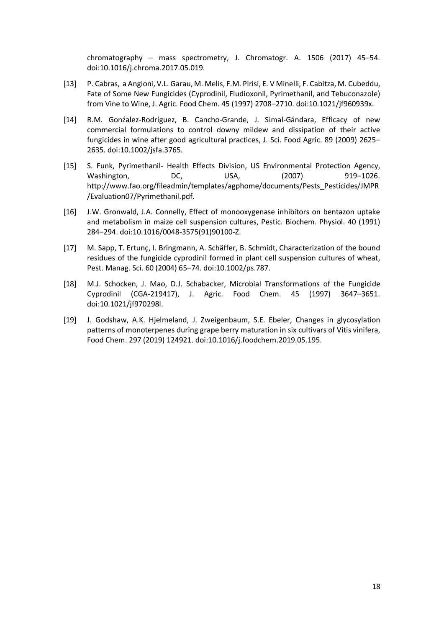chromatography – mass spectrometry, J. Chromatogr. A. 1506 (2017) 45–54. doi:10.1016/j.chroma.2017.05.019.

- [13] P. Cabras, a Angioni, V.L. Garau, M. Melis, F.M. Pirisi, E. V Minelli, F. Cabitza, M. Cubeddu, Fate of Some New Fungicides (Cyprodinil, Fludioxonil, Pyrimethanil, and Tebuconazole) from Vine to Wine, J. Agric. Food Chem. 45 (1997) 2708–2710. doi:10.1021/jf960939x.
- [14] R.M. Gonźalez-Rodríguez, B. Cancho-Grande, J. Simal-Gándara, Efficacy of new commercial formulations to control downy mildew and dissipation of their active fungicides in wine after good agricultural practices, J. Sci. Food Agric. 89 (2009) 2625– 2635. doi:10.1002/jsfa.3765.
- [15] S. Funk, Pyrimethanil- Health Effects Division, US Environmental Protection Agency, Washington, DC, USA, (2007) 919–1026. http://www.fao.org/fileadmin/templates/agphome/documents/Pests\_Pesticides/JMPR /Evaluation07/Pyrimethanil.pdf.
- [16] J.W. Gronwald, J.A. Connelly, Effect of monooxygenase inhibitors on bentazon uptake and metabolism in maize cell suspension cultures, Pestic. Biochem. Physiol. 40 (1991) 284–294. doi:10.1016/0048-3575(91)90100-Z.
- [17] M. Sapp, T. Ertunç, I. Bringmann, A. Schäffer, B. Schmidt, Characterization of the bound residues of the fungicide cyprodinil formed in plant cell suspension cultures of wheat, Pest. Manag. Sci. 60 (2004) 65–74. doi:10.1002/ps.787.
- [18] M.J. Schocken, J. Mao, D.J. Schabacker, Microbial Transformations of the Fungicide Cyprodinil (CGA-219417), J. Agric. Food Chem. 45 (1997) 3647–3651. doi:10.1021/jf970298l.
- [19] J. Godshaw, A.K. Hjelmeland, J. Zweigenbaum, S.E. Ebeler, Changes in glycosylation patterns of monoterpenes during grape berry maturation in six cultivars of Vitis vinifera, Food Chem. 297 (2019) 124921. doi:10.1016/j.foodchem.2019.05.195.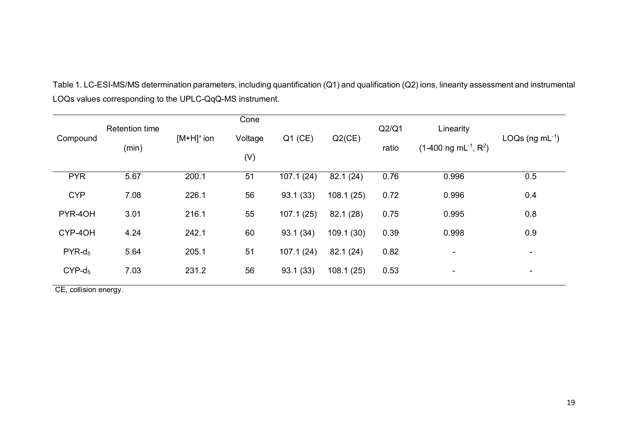|            | <b>Retention time</b> |               | Cone    |           |           | Q2/Q1 | Linearity                          |                          |  |
|------------|-----------------------|---------------|---------|-----------|-----------|-------|------------------------------------|--------------------------|--|
| Compound   | (min)                 | $[M+H]^+$ ion | Voltage | $Q1$ (CE) | $Q2$ (CE) | ratio | $(1-400 \text{ ng } mL^{-1}, R^2)$ | $LOGs$ (ng mL $^{-1}$ )  |  |
|            |                       |               | (V)     |           |           |       |                                    |                          |  |
| <b>PYR</b> | 5.67                  | 200.1         | 51      | 107.1(24) | 82.1 (24) | 0.76  | 0.996                              | 0.5                      |  |
| <b>CYP</b> | 7.08                  | 226.1         | 56      | 93.1(33)  | 108.1(25) | 0.72  | 0.996                              | 0.4                      |  |
| PYR-40H    | 3.01                  | 216.1         | 55      | 107.1(25) | 82.1 (28) | 0.75  | 0.995                              | 0.8                      |  |
| CYP-4OH    | 4.24                  | 242.1         | 60      | 93.1 (34) | 109.1(30) | 0.39  | 0.998                              | 0.9                      |  |
| $PYR-d_5$  | 5.64                  | 205.1         | 51      | 107.1(24) | 82.1(24)  | 0.82  | $\overline{\phantom{a}}$           | $\overline{\phantom{a}}$ |  |
| $CYP-d_5$  | 7.03                  | 231.2         | 56      | 93.1(33)  | 108.1(25) | 0.53  | $\blacksquare$                     | $\overline{\phantom{a}}$ |  |
|            |                       |               |         |           |           |       |                                    |                          |  |

Table 1. LC-ESI-MS/MS determination parameters, including quantification (Q1) and qualification (Q2) ions, linearity assessment and instrumental LOQs values corresponding to the UPLC-QqQ-MS instrument.

CE, collision energy.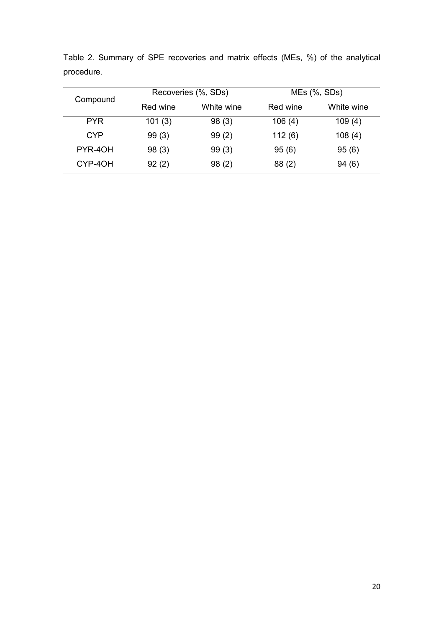| Compound   |          | Recoveries (%, SDs) | $MEs$ $%$ , SDs) |            |  |
|------------|----------|---------------------|------------------|------------|--|
|            | Red wine | White wine          | Red wine         | White wine |  |
| <b>PYR</b> | 101(3)   | 98(3)               | 106(4)           | 109(4)     |  |
| <b>CYP</b> | 99(3)    | 99(2)               | 112(6)           | 108(4)     |  |
| PYR-40H    | 98(3)    | 99(3)               | 95(6)            | 95(6)      |  |
| CYP-4OH    | 92(2)    | 98(2)               | 88(2)            | 94(6)      |  |

Table 2. Summary of SPE recoveries and matrix effects (MEs, %) of the analytical procedure.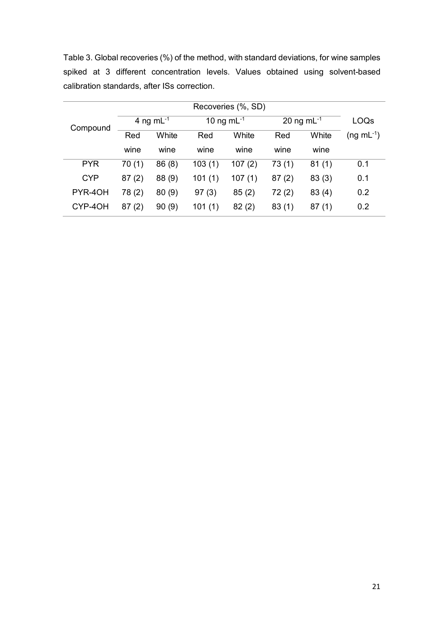|                                              |  |  |  |  |  |  |  |  | Table 3. Global recoveries (%) of the method, with standard deviations, for wine samples |
|----------------------------------------------|--|--|--|--|--|--|--|--|------------------------------------------------------------------------------------------|
|                                              |  |  |  |  |  |  |  |  | spiked at 3 different concentration levels. Values obtained using solvent-based          |
| calibration standards, after ISs correction. |  |  |  |  |  |  |  |  |                                                                                          |

| Compound   | 4 ng m $L^{-1}$ |        | 10 ng m $L^{-1}$ |        | 20 ng m $L^{-1}$ |       | LOQs              |
|------------|-----------------|--------|------------------|--------|------------------|-------|-------------------|
|            | Red             | White  | Red              | White  | Red              | White | $(ng \, mL^{-1})$ |
|            | wine            | wine   | wine             | wine   | wine             | wine  |                   |
| <b>PYR</b> | 70(1)           | 86(8)  | 103(1)           | 107(2) | 73(1)            | 81(1) | 0.1               |
| <b>CYP</b> | 87(2)           | 88 (9) | 101(1)           | 107(1) | 87(2)            | 83(3) | 0.1               |
| PYR-40H    | 78 (2)          | 80(9)  | 97(3)            | 85(2)  | 72(2)            | 83(4) | 0.2               |
| CYP-4OH    | 87(2)           | 90(9)  | 101(1)           | 82(2)  | 83(1)            | 87(1) | 0.2               |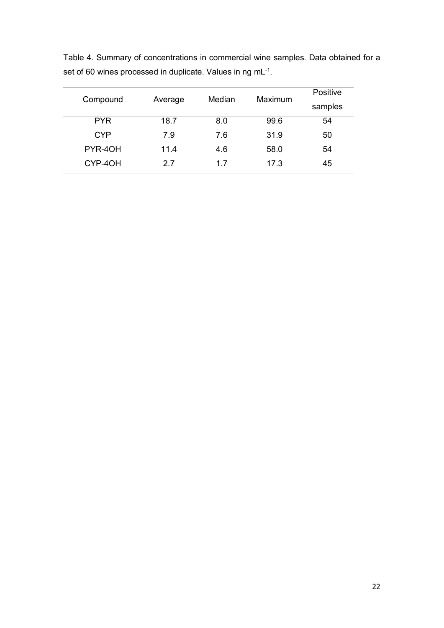| Compound   |         | Median | Maximum | Positive |
|------------|---------|--------|---------|----------|
|            | Average |        |         | samples  |
| <b>PYR</b> | 18.7    | 8.0    | 99.6    | 54       |
| <b>CYP</b> | 7.9     | 7.6    | 31.9    | 50       |
| PYR-40H    | 11.4    | 4.6    | 58.0    | 54       |
| CYP-4OH    | 2.7     | 17     | 17.3    | 45       |

Table 4. Summary of concentrations in commercial wine samples. Data obtained for a set of 60 wines processed in duplicate. Values in ng mL $^{\text{-}1}$ .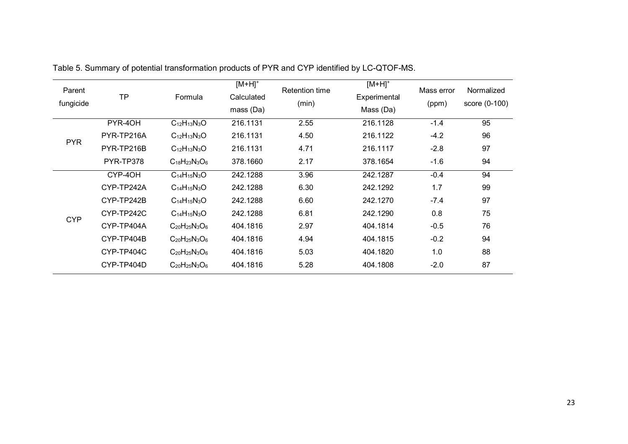| Parent<br>fungicide | <b>TP</b>  | Formula                  | $[M+H]^+$<br>Calculated<br>mass(Da) | <b>Retention time</b><br>(min) | $[M+H]^+$<br>Experimental<br>Mass (Da) | Mass error<br>(ppm) | Normalized<br>score (0-100) |
|---------------------|------------|--------------------------|-------------------------------------|--------------------------------|----------------------------------------|---------------------|-----------------------------|
|                     | PYR-40H    | $C_{12}H_{13}N_{3}O$     | 216.1131                            | 2.55                           | 216.1128                               | $-1.4$              | 95                          |
| <b>PYR</b>          | PYR-TP216A | $C_{12}H_{13}N_{3}O$     | 216.1131                            | 4.50                           | 216.1122                               | $-4.2$              | 96                          |
|                     | PYR-TP216B | $C_{12}H_{13}N_{3}O$     | 216.1131                            | 4.71                           | 216.1117                               | $-2.8$              | 97                          |
|                     | PYR-TP378  | $C_{18}H_{23}N_{3}O_{6}$ | 378.1660                            | 2.17                           | 378.1654                               | $-1.6$              | 94                          |
|                     | CYP-4OH    | $C_{14}H_{15}N_{3}O$     | 242.1288                            | 3.96                           | 242.1287                               | $-0.4$              | 94                          |
|                     | CYP-TP242A | $C_{14}H_{15}N_{3}O$     | 242.1288                            | 6.30                           | 242.1292                               | 1.7                 | 99                          |
|                     | CYP-TP242B | $C_{14}H_{15}N_3O$       | 242.1288                            | 6.60                           | 242.1270                               | $-7.4$              | 97                          |
|                     | CYP-TP242C | $C_{14}H_{15}N_{3}O$     | 242.1288                            | 6.81                           | 242.1290                               | 0.8                 | 75                          |
| <b>CYP</b>          | CYP-TP404A | $C_{20}H_{25}N_{3}O_{6}$ | 404.1816                            | 2.97                           | 404.1814                               | $-0.5$              | 76                          |
|                     | CYP-TP404B | $C_{20}H_{25}N_{3}O_{6}$ | 404.1816                            | 4.94                           | 404.1815                               | $-0.2$              | 94                          |
|                     | CYP-TP404C | $C_{20}H_{25}N_{3}O_{6}$ | 404.1816                            | 5.03                           | 404.1820                               | 1.0                 | 88                          |
|                     | CYP-TP404D | $C_{20}H_{25}N_3O_6$     | 404.1816                            | 5.28                           | 404.1808                               | $-2.0$              | 87                          |

Table 5. Summary of potential transformation products of PYR and CYP identified by LC-QTOF-MS.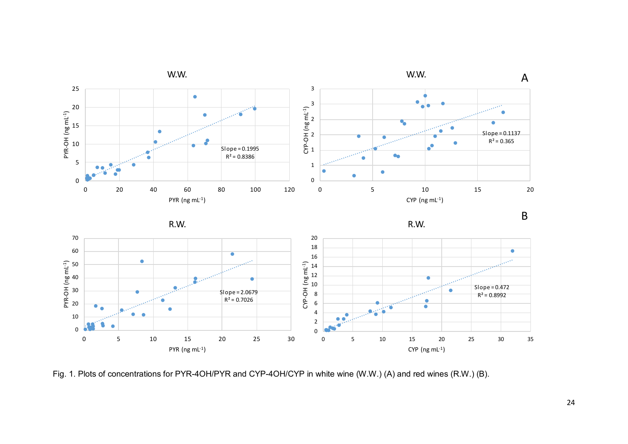

Fig. 1. Plots of concentrations for PYR-4OH/PYR and CYP-4OH/CYP in white wine (W.W.) (A) and red wines (R.W.) (B).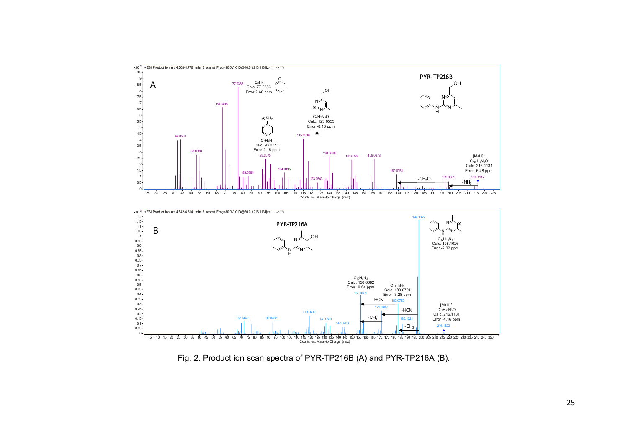

Fig. 2. Product ion scan spectra of PYR-TP216B (A) and PYR-TP216A (B).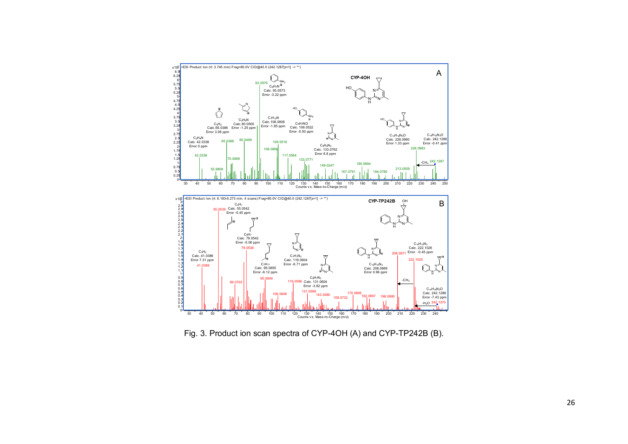

Fig. 3. Product ion scan spectra of CYP-4OH (A) and CYP-TP242B (B).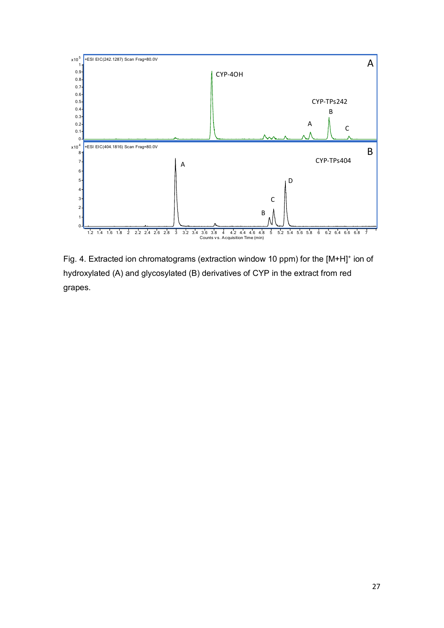

Fig. 4. Extracted ion chromatograms (extraction window 10 ppm) for the [M+H]<sup>+</sup> ion of hydroxylated (A) and glycosylated (B) derivatives of CYP in the extract from red grapes.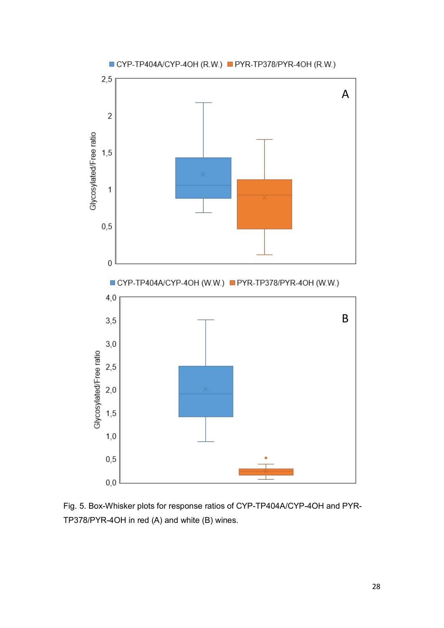

![](_page_27_Figure_1.jpeg)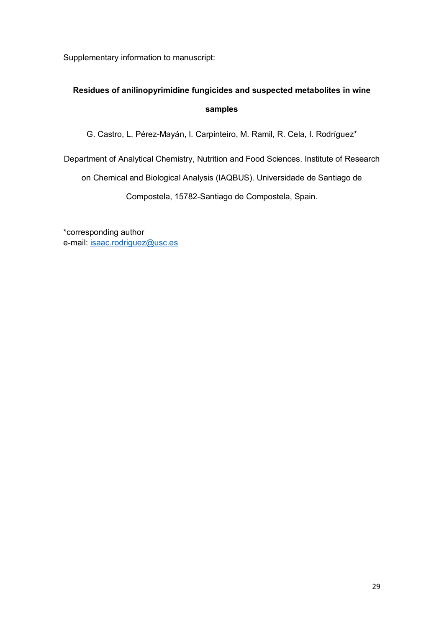Supplementary information to manuscript:

# **Residues of anilinopyrimidine fungicides and suspected metabolites in wine samples**

G. Castro, L. Pérez-Mayán, I. Carpinteiro, M. Ramil, R. Cela, I. Rodríguez\*

Department of Analytical Chemistry, Nutrition and Food Sciences. Institute of Research

on Chemical and Biological Analysis (IAQBUS). Universidade de Santiago de

Compostela, 15782-Santiago de Compostela, Spain.

\*corresponding author e-mail: [isaac.rodriguez@usc.es](mailto:isaac.rodriguez@usc.es)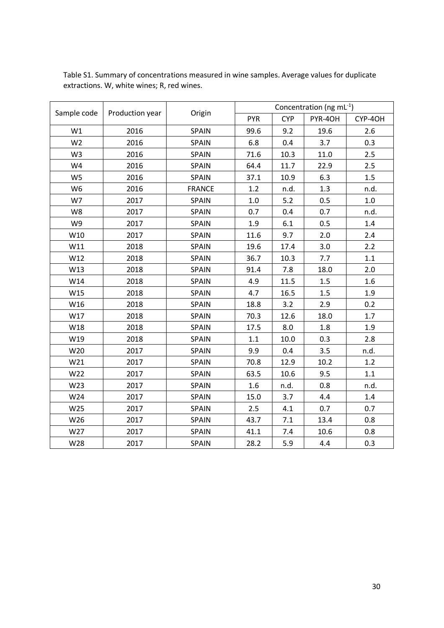| Sample code    |                 | Origin        | Concentration (ng mL $^{-1}$ ) |            |         |         |  |
|----------------|-----------------|---------------|--------------------------------|------------|---------|---------|--|
|                | Production year |               | <b>PYR</b>                     | <b>CYP</b> | PYR-4OH | CYP-4OH |  |
| W1             | 2016            | <b>SPAIN</b>  | 99.6                           | 9.2        | 19.6    | 2.6     |  |
| W <sub>2</sub> | 2016            | SPAIN         | 6.8                            | 0.4        | 3.7     | 0.3     |  |
| W <sub>3</sub> | 2016            | <b>SPAIN</b>  | 71.6                           | 10.3       | 11.0    | 2.5     |  |
| W4             | 2016            | SPAIN         | 64.4                           | 11.7       | 22.9    | 2.5     |  |
| W <sub>5</sub> | 2016            | SPAIN         | 37.1                           | 10.9       | 6.3     | 1.5     |  |
| W <sub>6</sub> | 2016            | <b>FRANCE</b> | 1.2                            | n.d.       | 1.3     | n.d.    |  |
| W7             | 2017            | SPAIN         | 1.0                            | 5.2        | 0.5     | 1.0     |  |
| W8             | 2017            | <b>SPAIN</b>  | 0.7                            | 0.4        | 0.7     | n.d.    |  |
| W9             | 2017            | <b>SPAIN</b>  | 1.9                            | 6.1        | 0.5     | 1.4     |  |
| W10            | 2017            | <b>SPAIN</b>  | 11.6                           | 9.7        | 2.0     | 2.4     |  |
| W11            | 2018            | <b>SPAIN</b>  | 19.6                           | 17.4       | 3.0     | 2.2     |  |
| W12            | 2018            | <b>SPAIN</b>  | 36.7                           | 10.3       | 7.7     | 1.1     |  |
| W13            | 2018            | <b>SPAIN</b>  | 91.4                           | 7.8        | 18.0    | 2.0     |  |
| W14            | 2018            | <b>SPAIN</b>  | 4.9                            | 11.5       | 1.5     | 1.6     |  |
| W15            | 2018            | <b>SPAIN</b>  | 4.7                            | 16.5       | 1.5     | 1.9     |  |
| W16            | 2018            | <b>SPAIN</b>  | 18.8                           | 3.2        | 2.9     | 0.2     |  |
| W17            | 2018            | <b>SPAIN</b>  | 70.3                           | 12.6       | 18.0    | 1.7     |  |
| W18            | 2018            | <b>SPAIN</b>  | 17.5                           | 8.0        | 1.8     | 1.9     |  |
| W19            | 2018            | <b>SPAIN</b>  | 1.1                            | 10.0       | 0.3     | 2.8     |  |
| W20            | 2017            | <b>SPAIN</b>  | 9.9                            | 0.4        | 3.5     | n.d.    |  |
| W21            | 2017            | <b>SPAIN</b>  | 70.8                           | 12.9       | 10.2    | 1.2     |  |
| W22            | 2017            | <b>SPAIN</b>  | 63.5                           | 10.6       | 9.5     | 1.1     |  |
| W23            | 2017            | SPAIN         | 1.6                            | n.d.       | 0.8     | n.d.    |  |
| W24            | 2017            | SPAIN         | 15.0                           | 3.7        | 4.4     | 1.4     |  |
| W25            | 2017            | SPAIN         | 2.5                            | 4.1        | 0.7     | 0.7     |  |
| W26            | 2017            | <b>SPAIN</b>  | 43.7                           | $7.1\,$    | 13.4    | 0.8     |  |
| W27            | 2017            | <b>SPAIN</b>  | 41.1                           | 7.4        | 10.6    | 0.8     |  |
| W28            | 2017            | <b>SPAIN</b>  | 28.2                           | 5.9        | 4.4     | 0.3     |  |

Table S1. Summary of concentrations measured in wine samples. Average values for duplicate extractions. W, white wines; R, red wines.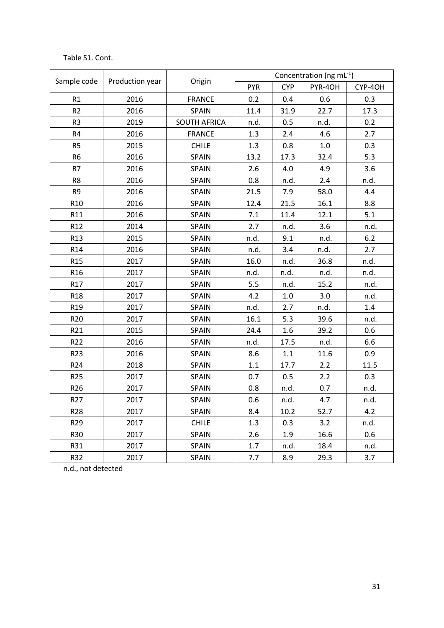## Table S1. Cont.

|                 |                 |                     | Concentration (ng mL $^{-1}$ ) |            |         |         |  |
|-----------------|-----------------|---------------------|--------------------------------|------------|---------|---------|--|
| Sample code     | Production year | Origin              | <b>PYR</b>                     | <b>CYP</b> | PYR-4OH | CYP-4OH |  |
| R1              | 2016            | <b>FRANCE</b>       | 0.2                            | 0.4        | 0.6     | 0.3     |  |
| R2              | 2016            | SPAIN               | 11.4                           | 31.9       | 22.7    | 17.3    |  |
| R <sub>3</sub>  | 2019            | <b>SOUTH AFRICA</b> | n.d.                           | 0.5        | n.d.    | 0.2     |  |
| R4              | 2016            | <b>FRANCE</b>       | 1.3                            | 2.4        | 4.6     | 2.7     |  |
| R <sub>5</sub>  | 2015            | <b>CHILE</b>        | 1.3                            | 0.8        | $1.0\,$ | 0.3     |  |
| R <sub>6</sub>  | 2016            | <b>SPAIN</b>        | 13.2                           | 17.3       | 32.4    | 5.3     |  |
| R7              | 2016            | <b>SPAIN</b>        | 2.6                            | 4.0        | 4.9     | 3.6     |  |
| R8              | 2016            | <b>SPAIN</b>        | 0.8                            | n.d.       | 2.4     | n.d.    |  |
| R9              | 2016            | <b>SPAIN</b>        | 21.5                           | 7.9        | 58.0    | 4.4     |  |
| R <sub>10</sub> | 2016            | <b>SPAIN</b>        | 12.4                           | 21.5       | 16.1    | 8.8     |  |
| R11             | 2016            | <b>SPAIN</b>        | 7.1                            | 11.4       | 12.1    | 5.1     |  |
| R <sub>12</sub> | 2014            | <b>SPAIN</b>        | 2.7                            | n.d.       | 3.6     | n.d.    |  |
| R <sub>13</sub> | 2015            | SPAIN               | n.d.                           | 9.1        | n.d.    | $6.2$   |  |
| R <sub>14</sub> | 2016            | SPAIN               | n.d.                           | 3.4        | n.d.    | 2.7     |  |
| R <sub>15</sub> | 2017            | <b>SPAIN</b>        | 16.0                           | n.d.       | 36.8    | n.d.    |  |
| R <sub>16</sub> | 2017            | <b>SPAIN</b>        | n.d.                           | n.d.       | n.d.    | n.d.    |  |
| R17             | 2017            | <b>SPAIN</b>        | 5.5                            | n.d.       | 15.2    | n.d.    |  |
| R <sub>18</sub> | 2017            | <b>SPAIN</b>        | 4.2                            | 1.0        | 3.0     | n.d.    |  |
| R <sub>19</sub> | 2017            | <b>SPAIN</b>        | n.d.                           | 2.7        | n.d.    | 1.4     |  |
| R <sub>20</sub> | 2017            | <b>SPAIN</b>        | 16.1                           | 5.3        | 39.6    | n.d.    |  |
| R21             | 2015            | SPAIN               | 24.4                           | 1.6        | 39.2    | 0.6     |  |
| R22             | 2016            | <b>SPAIN</b>        | n.d.                           | 17.5       | n.d.    | 6.6     |  |
| R <sub>23</sub> | 2016            | <b>SPAIN</b>        | 8.6                            | 1.1        | 11.6    | 0.9     |  |
| R <sub>24</sub> | 2018            | <b>SPAIN</b>        | $1.1\,$                        | 17.7       | 2.2     | 11.5    |  |
| R <sub>25</sub> | 2017            | <b>SPAIN</b>        | 0.7                            | 0.5        | 2.2     | 0.3     |  |
| R <sub>26</sub> | 2017            | <b>SPAIN</b>        | 0.8                            | n.d.       | 0.7     | n.d.    |  |
| R <sub>27</sub> | 2017            | <b>SPAIN</b>        | 0.6                            | n.d.       | 4.7     | n.d.    |  |
| R <sub>28</sub> | 2017            | SPAIN               | 8.4                            | 10.2       | 52.7    | 4.2     |  |
| R <sub>29</sub> | 2017            | <b>CHILE</b>        | 1.3                            | 0.3        | 3.2     | n.d.    |  |
| R30             | 2017            | <b>SPAIN</b>        | 2.6                            | 1.9        | 16.6    | 0.6     |  |
| R31             | 2017            | <b>SPAIN</b>        | 1.7                            | n.d.       | 18.4    | n.d.    |  |
| R32             | 2017            | <b>SPAIN</b>        | 7.7                            | 8.9        | 29.3    | 3.7     |  |

n.d., not detected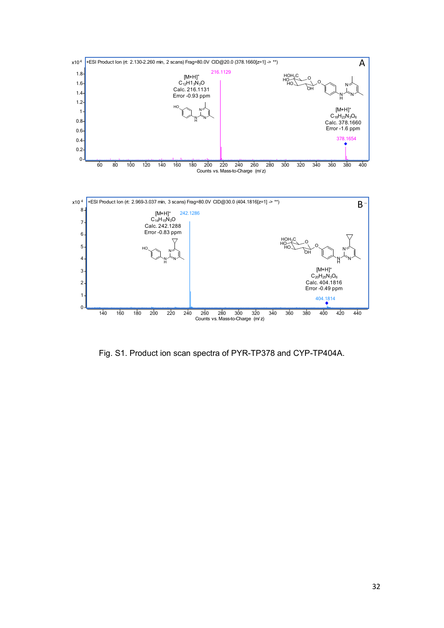![](_page_31_Figure_0.jpeg)

Fig. S1. Product ion scan spectra of PYR-TP378 and CYP-TP404A.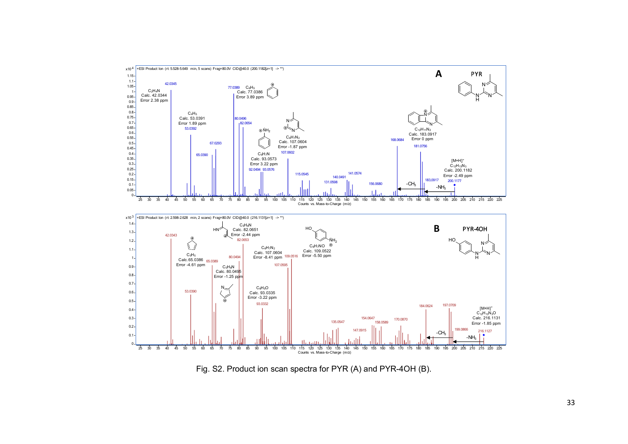![](_page_32_Figure_0.jpeg)

Fig. S2. Product ion scan spectra for PYR (A) and PYR-4OH (B).